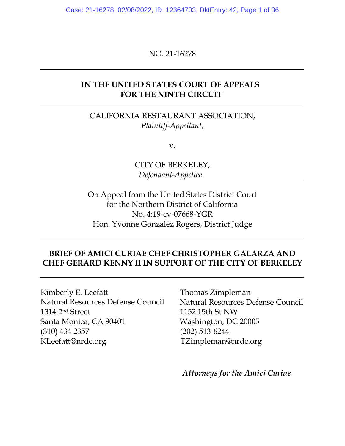Case: 21-16278, 02/08/2022, ID: 12364703, DktEntry: 42, Page 1 of 36

NO. 21-16278

### **IN THE UNITED STATES COURT OF APPEALS FOR THE NINTH CIRCUIT**

CALIFORNIA RESTAURANT ASSOCIATION, *Plaintiff-Appellant*,

v.

CITY OF BERKELEY, *Defendant-Appellee*.

On Appeal from the United States District Court for the Northern District of California No. 4:19-cv-07668-YGR Hon. Yvonne Gonzalez Rogers, District Judge

## **BRIEF OF AMICI CURIAE CHEF CHRISTOPHER GALARZA AND CHEF GERARD KENNY II IN SUPPORT OF THE CITY OF BERKELEY**

Kimberly E. Leefatt Thomas Zimpleman 1314 2nd Street 1152 15th St NW Santa Monica, CA 90401 Washington, DC 20005 (310) 434 2357 (202) 513-6244 KLeefatt@nrdc.org TZimpleman@nrdc.org

Natural Resources Defense Council Natural Resources Defense Council

*Attorneys for the Amici Curiae*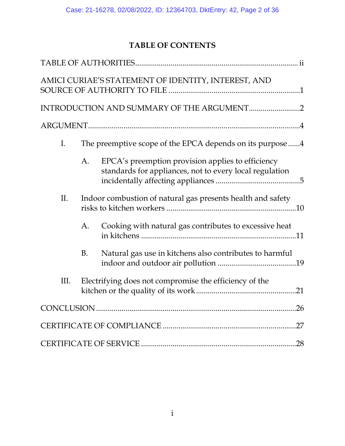# **TABLE OF CONTENTS**

|                |           | AMICI CURIAE'S STATEMENT OF IDENTITY, INTEREST, AND                                                          |
|----------------|-----------|--------------------------------------------------------------------------------------------------------------|
|                |           |                                                                                                              |
|                |           |                                                                                                              |
| $\mathbf{I}$ . |           | The preemptive scope of the EPCA depends on its purpose 4                                                    |
|                | A.        | EPCA's preemption provision applies to efficiency<br>standards for appliances, not to every local regulation |
| II.            |           | Indoor combustion of natural gas presents health and safety                                                  |
|                | A.        | Cooking with natural gas contributes to excessive heat                                                       |
|                | <b>B.</b> | Natural gas use in kitchens also contributes to harmful                                                      |
| Ш.             |           | Electrifying does not compromise the efficiency of the                                                       |
|                |           |                                                                                                              |
|                |           |                                                                                                              |
|                |           |                                                                                                              |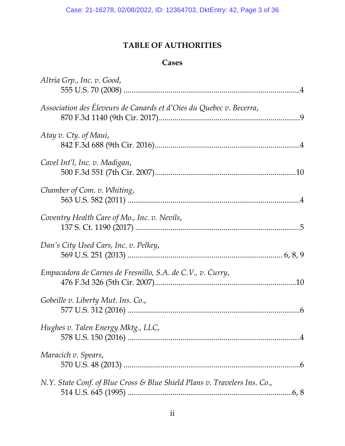# **TABLE OF AUTHORITIES**

## **Cases**

| Altria Grp., Inc. v. Good,                                                |  |
|---------------------------------------------------------------------------|--|
| Association des Éleveurs de Canards et d'Oies du Quebec v. Becerra,       |  |
| Atay v. Cty. of Maui,                                                     |  |
| Cavel Int'l, Inc. v. Madigan,                                             |  |
| Chamber of Com. v. Whiting,                                               |  |
| Coventry Health Care of Mo., Inc. v. Nevils,                              |  |
| Dan's City Used Cars, Inc. v. Pelkey,                                     |  |
| Empacadora de Carnes de Fresnillo, S.A. de C.V., v. Curry,                |  |
| Gobeille v. Liberty Mut. Ins. Co.,                                        |  |
| Hughes v. Talen Energy Mktg., LLC,                                        |  |
| Maracich v. Spears,                                                       |  |
| N.Y. State Conf. of Blue Cross & Blue Shield Plans v. Travelers Ins. Co., |  |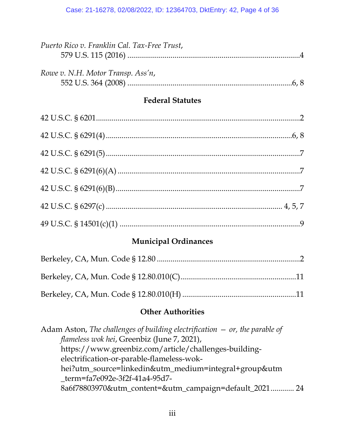| Puerto Rico v. Franklin Cal. Tax-Free Trust, |  |
|----------------------------------------------|--|
|                                              |  |
| Rowe v. N.H. Motor Transp. Ass'n,            |  |
|                                              |  |
| <b>Federal Statutes</b>                      |  |
|                                              |  |
|                                              |  |
|                                              |  |
|                                              |  |
|                                              |  |
|                                              |  |
|                                              |  |

# **Municipal Ordinances**

# **Other Authorities**

| Adam Aston, The challenges of building electrification $-$ or, the parable of |
|-------------------------------------------------------------------------------|
| flameless wok hei, Greenbiz (June 7, 2021),                                   |
| https://www.greenbiz.com/article/challenges-building-                         |
| electrification-or-parable-flameless-wok-                                     |
| hei?utm_source=linkedin&utm_medium=integral+group&utm                         |
| term=fa7e092e-3f2f-41a4-95d7-                                                 |
| 8a6f78803970&utm_content=&utm_campaign=default_2021 24                        |
|                                                                               |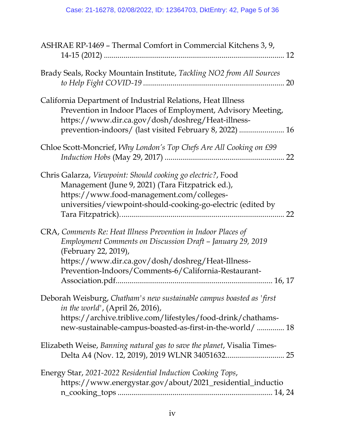| ASHRAE RP-1469 - Thermal Comfort in Commercial Kitchens 3, 9,                                                                                                                                                                                                    |
|------------------------------------------------------------------------------------------------------------------------------------------------------------------------------------------------------------------------------------------------------------------|
| Brady Seals, Rocky Mountain Institute, Tackling NO2 from All Sources                                                                                                                                                                                             |
| California Department of Industrial Relations, Heat Illness<br>Prevention in Indoor Places of Employment, Advisory Meeting,<br>https://www.dir.ca.gov/dosh/doshreg/Heat-illness-<br>prevention-indoors/ (last visited February 8, 2022)  16                      |
| Chloe Scott-Moncrief, Why London's Top Chefs Are All Cooking on £99                                                                                                                                                                                              |
| Chris Galarza, Viewpoint: Should cooking go electric?, Food<br>Management (June 9, 2021) (Tara Fitzpatrick ed.),<br>https://www.food-management.com/colleges-<br>universities/viewpoint-should-cooking-go-electric (edited by<br>22                              |
| CRA, Comments Re: Heat Illness Prevention in Indoor Places of<br>Employment Comments on Discussion Draft - January 29, 2019<br>(February 22, 2019),<br>https://www.dir.ca.gov/dosh/doshreg/Heat-Illness-<br>Prevention-Indoors/Comments-6/California-Restaurant- |
| Deborah Weisburg, Chatham's new sustainable campus boasted as 'first<br>in the world', (April 26, 2016),<br>https://archive.triblive.com/lifestyles/food-drink/chathams-<br>new-sustainable-campus-boasted-as-first-in-the-world/  18                            |
| Elizabeth Weise, Banning natural gas to save the planet, Visalia Times-                                                                                                                                                                                          |
| Energy Star, 2021-2022 Residential Induction Cooking Tops,<br>https://www.energystar.gov/about/2021_residential_inductio                                                                                                                                         |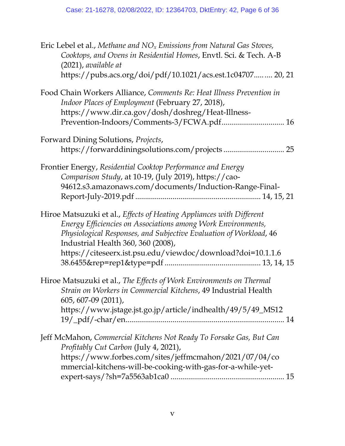| Eric Lebel et al., Methane and $NOx$ Emissions from Natural Gas Stoves,<br>Cooktops, and Ovens in Residential Homes, Envtl. Sci. & Tech. A-B<br>$(2021)$ , available at                                                                                                                                         |
|-----------------------------------------------------------------------------------------------------------------------------------------------------------------------------------------------------------------------------------------------------------------------------------------------------------------|
| https://pubs.acs.org/doi/pdf/10.1021/acs.est.1c04707  20, 21                                                                                                                                                                                                                                                    |
| Food Chain Workers Alliance, Comments Re: Heat Illness Prevention in<br>Indoor Places of Employment (February 27, 2018),<br>https://www.dir.ca.gov/dosh/doshreg/Heat-Illness-<br>Prevention-Indoors/Comments-3/FCWA.pdf 16                                                                                      |
| Forward Dining Solutions, Projects,                                                                                                                                                                                                                                                                             |
| Frontier Energy, Residential Cooktop Performance and Energy<br>Comparison Study, at 10-19, (July 2019), https://cao-<br>94612.s3.amazonaws.com/documents/Induction-Range-Final-                                                                                                                                 |
| Hiroe Matsuzuki et al., Effects of Heating Appliances with Different<br>Energy Efficiencies on Associations among Work Environments,<br>Physiological Responses, and Subjective Evaluation of Workload, 46<br>Industrial Health 360, 360 (2008),<br>https://citeseerx.ist.psu.edu/viewdoc/download?doi=10.1.1.6 |
| Hiroe Matsuzuki et al., The Effects of Work Environments on Thermal<br>Strain on Workers in Commercial Kitchens, 49 Industrial Health<br>605, 607-09 (2011),<br>https://www.jstage.jst.go.jp/article/indhealth/49/5/49_MS12                                                                                     |
| Jeff McMahon, Commercial Kitchens Not Ready To Forsake Gas, But Can<br>Profitably Cut Carbon (July 4, 2021),<br>https://www.forbes.com/sites/jeffmcmahon/2021/07/04/co<br>mmercial-kitchens-will-be-cooking-with-gas-for-a-while-yet-                                                                           |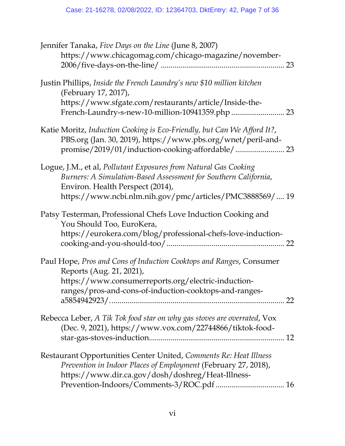| Jennifer Tanaka, Five Days on the Line (June 8, 2007)                                                                                                                                                                               |
|-------------------------------------------------------------------------------------------------------------------------------------------------------------------------------------------------------------------------------------|
| https://www.chicagomag.com/chicago-magazine/november-                                                                                                                                                                               |
| Justin Phillips, Inside the French Laundry's new \$10 million kitchen<br>(February 17, 2017),                                                                                                                                       |
| https://www.sfgate.com/restaurants/article/Inside-the-                                                                                                                                                                              |
| Katie Moritz, Induction Cooking is Eco-Friendly, but Can We Afford It?,<br>PBS.org (Jan. 30, 2019), https://www.pbs.org/wnet/peril-and-                                                                                             |
| Logue, J.M., et al, Pollutant Exposures from Natural Gas Cooking<br>Burners: A Simulation-Based Assessment for Southern California,<br>Environ. Health Perspect (2014),<br>https://www.ncbi.nlm.nih.gov/pmc/articles/PMC3888569/ 19 |
| Patsy Testerman, Professional Chefs Love Induction Cooking and<br>You Should Too, EuroKera,<br>https://eurokera.com/blog/professional-chefs-love-induction-                                                                         |
| Paul Hope, Pros and Cons of Induction Cooktops and Ranges, Consumer<br>Reports (Aug. 21, 2021),<br>https://www.consumerreports.org/electric-induction-<br>ranges/pros-and-cons-of-induction-cooktops-and-ranges-<br>22              |
| Rebecca Leber, A Tik Tok food star on why gas stoves are overrated, Vox<br>(Dec. 9, 2021), https://www.vox.com/22744866/tiktok-food-                                                                                                |
| Restaurant Opportunities Center United, Comments Re: Heat Illness<br>Prevention in Indoor Places of Employment (February 27, 2018),<br>https://www.dir.ca.gov/dosh/doshreg/Heat-Illness-                                            |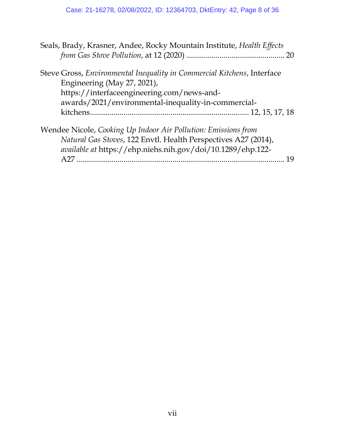| Seals, Brady, Krasner, Andee, Rocky Mountain Institute, Health Effects                                                                                                                                      |  |
|-------------------------------------------------------------------------------------------------------------------------------------------------------------------------------------------------------------|--|
| Steve Gross, Environmental Inequality in Commercial Kitchens, Interface<br>Engineering (May 27, 2021),<br>https://interfaceengineering.com/news-and-<br>awards/2021/environmental-inequality-in-commercial- |  |
|                                                                                                                                                                                                             |  |
| Wendee Nicole, Cooking Up Indoor Air Pollution: Emissions from<br>Natural Gas Stoves, 122 Envtl. Health Perspectives A27 (2014),                                                                            |  |
| available at https://ehp.niehs.nih.gov/doi/10.1289/ehp.122-<br>19                                                                                                                                           |  |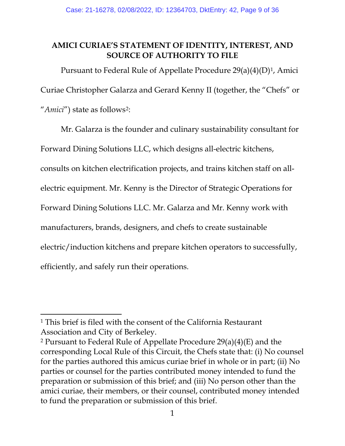## **AMICI CURIAE'S STATEMENT OF IDENTITY, INTEREST, AND SOURCE OF AUTHORITY TO FILE**

Pursuant to Federal Rule of Appellate Procedure  $29(a)(4)(D)^1$ , Amici Curiae Christopher Galarza and Gerard Kenny II (together, the "Chefs" or "*Amici*") state as follows<sup>[2](#page-8-1)</sup>:

Mr. Galarza is the founder and culinary sustainability consultant for Forward Dining Solutions LLC, which designs all-electric kitchens, consults on kitchen electrification projects, and trains kitchen staff on allelectric equipment. Mr. Kenny is the Director of Strategic Operations for Forward Dining Solutions LLC. Mr. Galarza and Mr. Kenny work with manufacturers, brands, designers, and chefs to create sustainable electric/induction kitchens and prepare kitchen operators to successfully, efficiently, and safely run their operations.

<span id="page-8-0"></span><sup>1</sup> This brief is filed with the consent of the California Restaurant Association and City of Berkeley.

<span id="page-8-1"></span><sup>2</sup> Pursuant to Federal Rule of Appellate Procedure 29(a)(4)(E) and the corresponding Local Rule of this Circuit, the Chefs state that: (i) No counsel for the parties authored this amicus curiae brief in whole or in part; (ii) No parties or counsel for the parties contributed money intended to fund the preparation or submission of this brief; and (iii) No person other than the amici curiae, their members, or their counsel, contributed money intended to fund the preparation or submission of this brief.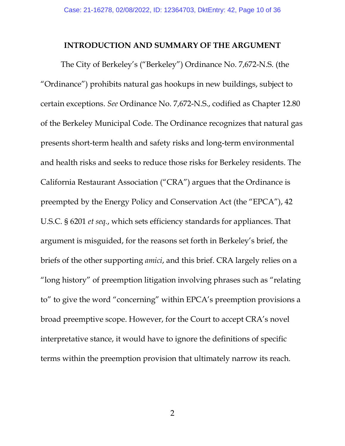### **INTRODUCTION AND SUMMARY OF THE ARGUMENT**

The City of Berkeley's ("Berkeley") Ordinance No. 7,672-N.S. (the "Ordinance") prohibits natural gas hookups in new buildings, subject to certain exceptions. *See* Ordinance No. 7,672-N.S., codified as Chapter 12.80 of the Berkeley Municipal Code. The Ordinance recognizes that natural gas presents short-term health and safety risks and long-term environmental and health risks and seeks to reduce those risks for Berkeley residents. The California Restaurant Association ("CRA") argues that the Ordinance is preempted by the Energy Policy and Conservation Act (the "EPCA"), 42 U.S.C. § 6201 *et seq.*, which sets efficiency standards for appliances. That argument is misguided, for the reasons set forth in Berkeley's brief, the briefs of the other supporting *amici*, and this brief. CRA largely relies on a "long history" of preemption litigation involving phrases such as "relating to" to give the word "concerning" within EPCA's preemption provisions a broad preemptive scope. However, for the Court to accept CRA's novel interpretative stance, it would have to ignore the definitions of specific terms within the preemption provision that ultimately narrow its reach.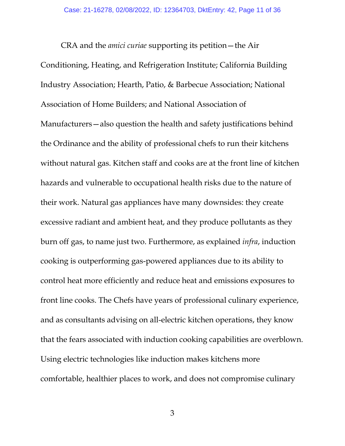CRA and the *amici curiae* supporting its petition—the Air Conditioning, Heating, and Refrigeration Institute; California Building Industry Association; Hearth, Patio, & Barbecue Association; National Association of Home Builders; and National Association of Manufacturers—also question the health and safety justifications behind the Ordinance and the ability of professional chefs to run their kitchens without natural gas. Kitchen staff and cooks are at the front line of kitchen hazards and vulnerable to occupational health risks due to the nature of their work. Natural gas appliances have many downsides: they create excessive radiant and ambient heat, and they produce pollutants as they burn off gas, to name just two. Furthermore, as explained *infra*, induction cooking is outperforming gas-powered appliances due to its ability to control heat more efficiently and reduce heat and emissions exposures to front line cooks. The Chefs have years of professional culinary experience, and as consultants advising on all-electric kitchen operations, they know that the fears associated with induction cooking capabilities are overblown. Using electric technologies like induction makes kitchens more comfortable, healthier places to work, and does not compromise culinary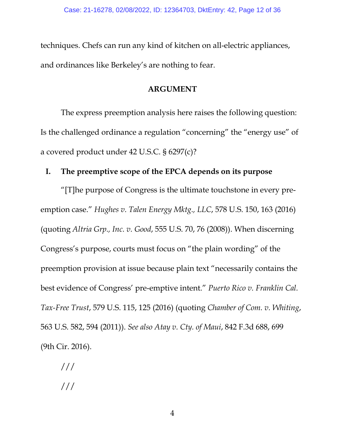techniques. Chefs can run any kind of kitchen on all-electric appliances, and ordinances like Berkeley's are nothing to fear.

### **ARGUMENT**

The express preemption analysis here raises the following question: Is the challenged ordinance a regulation "concerning" the "energy use" of a covered product under 42 U.S.C. § 6297(c)?

### **I. The preemptive scope of the EPCA depends on its purpose**

"[T]he purpose of Congress is the ultimate touchstone in every preemption case." *Hughes v. Talen Energy Mktg., LLC*, 578 U.S. 150, 163 (2016) (quoting *Altria Grp., Inc. v. Good*, 555 U.S. 70, 76 (2008)). When discerning Congress's purpose, courts must focus on "the plain wording" of the preemption provision at issue because plain text "necessarily contains the best evidence of Congress' pre-emptive intent." *Puerto Rico v. Franklin Cal. Tax-Free Trust*, 579 U.S. 115, 125 (2016) (quoting *Chamber of Com. v. Whiting*, 563 U.S. 582, 594 (2011)). *See also Atay v. Cty. of Maui*, 842 F.3d 688, 699 (9th Cir. 2016).

/// ///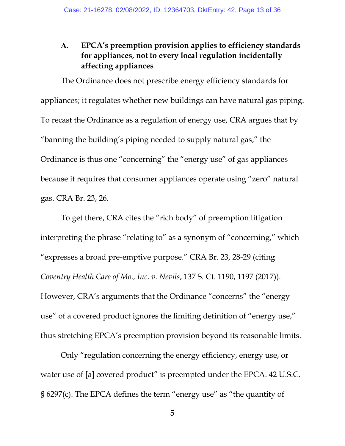## **A. EPCA's preemption provision applies to efficiency standards for appliances, not to every local regulation incidentally affecting appliances**

The Ordinance does not prescribe energy efficiency standards for appliances; it regulates whether new buildings can have natural gas piping. To recast the Ordinance as a regulation of energy use, CRA argues that by "banning the building's piping needed to supply natural gas," the Ordinance is thus one "concerning" the "energy use" of gas appliances because it requires that consumer appliances operate using "zero" natural gas. CRA Br. 23, 26.

To get there, CRA cites the "rich body" of preemption litigation interpreting the phrase "relating to" as a synonym of "concerning," which "expresses a broad pre-emptive purpose." CRA Br. 23, 28-29 (citing *Coventry Health Care of Mo., Inc. v. Nevils*, 137 S. Ct. 1190, 1197 (2017)). However, CRA's arguments that the Ordinance "concerns" the "energy use" of a covered product ignores the limiting definition of "energy use," thus stretching EPCA's preemption provision beyond its reasonable limits.

Only "regulation concerning the energy efficiency, energy use, or water use of [a] covered product" is preempted under the EPCA. 42 U.S.C. § 6297(c). The EPCA defines the term "energy use" as "the quantity of

5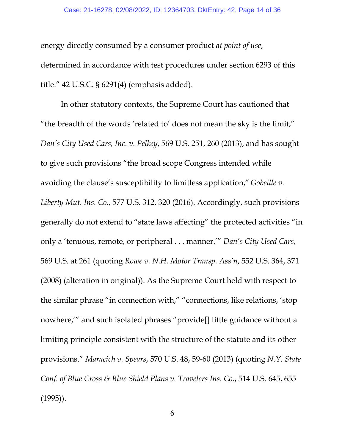#### Case: 21-16278, 02/08/2022, ID: 12364703, DktEntry: 42, Page 14 of 36

energy directly consumed by a consumer product *at point of use*, determined in accordance with test procedures under section 6293 of this title." 42 U.S.C. § 6291(4) (emphasis added).

In other statutory contexts, the Supreme Court has cautioned that "the breadth of the words 'related to' does not mean the sky is the limit," *Dan's City Used Cars, Inc. v. Pelkey*, 569 U.S. 251, 260 (2013), and has sought to give such provisions "the broad scope Congress intended while avoiding the clause's susceptibility to limitless application," *Gobeille v. Liberty Mut. Ins. Co.*, 577 U.S. 312, 320 (2016). Accordingly, such provisions generally do not extend to "state laws affecting" the protected activities "in only a 'tenuous, remote, or peripheral . . . manner.'" *Dan's City Used Cars*, 569 U.S. at 261 (quoting *Rowe v. N.H. Motor Transp. Ass'n*, 552 U.S. 364, 371 (2008) (alteration in original)). As the Supreme Court held with respect to the similar phrase "in connection with," "connections, like relations, 'stop nowhere,'" and such isolated phrases "provide[] little guidance without a limiting principle consistent with the structure of the statute and its other provisions." *Maracich v. Spears*, 570 U.S. 48, 59-60 (2013) (quoting *N.Y. State Conf. of Blue Cross & Blue Shield Plans v. Travelers Ins. Co.*, 514 U.S. 645, 655 (1995)).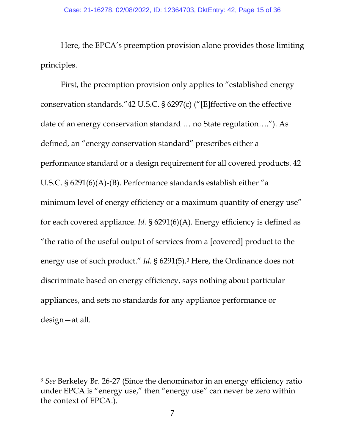Here, the EPCA's preemption provision alone provides those limiting principles.

First, the preemption provision only applies to "established energy conservation standards."42 U.S.C. § 6297(c) ("[E]ffective on the effective date of an energy conservation standard … no State regulation…."). As defined, an "energy conservation standard" prescribes either a performance standard or a design requirement for all covered products. 42 U.S.C. § 6291(6)(A)-(B). Performance standards establish either "a minimum level of energy efficiency or a maximum quantity of energy use" for each covered appliance. *Id.* § 6291(6)(A). Energy efficiency is defined as "the ratio of the useful output of services from a [covered] product to the energy use of such product." *Id.* § 6291(5).<sup>[3](#page-14-0)</sup> Here, the Ordinance does not discriminate based on energy efficiency, says nothing about particular appliances, and sets no standards for any appliance performance or design—at all.

<span id="page-14-0"></span><sup>3</sup> *See* Berkeley Br. 26-27 (Since the denominator in an energy efficiency ratio under EPCA is "energy use," then "energy use" can never be zero within the context of EPCA.).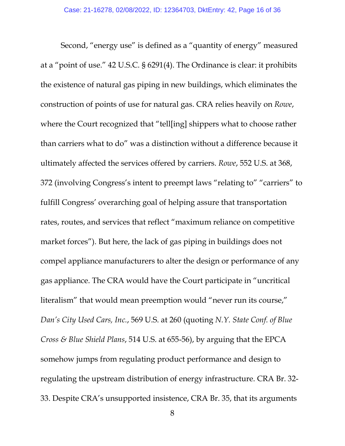Second, "energy use" is defined as a "quantity of energy" measured at a "point of use." 42 U.S.C. § 6291(4). The Ordinance is clear: it prohibits the existence of natural gas piping in new buildings, which eliminates the construction of points of use for natural gas. CRA relies heavily on *Rowe*, where the Court recognized that "tell[ing] shippers what to choose rather than carriers what to do" was a distinction without a difference because it ultimately affected the services offered by carriers. *Rowe*, 552 U.S. at 368, 372 (involving Congress's intent to preempt laws "relating to" "carriers" to fulfill Congress' overarching goal of helping assure that transportation rates, routes, and services that reflect "maximum reliance on competitive market forces"). But here, the lack of gas piping in buildings does not compel appliance manufacturers to alter the design or performance of any gas appliance. The CRA would have the Court participate in "uncritical literalism" that would mean preemption would "never run its course," *Dan's City Used Cars, Inc.*, 569 U.S. at 260 (quoting *N.Y. State Conf. of Blue Cross & Blue Shield Plans*, 514 U.S. at 655-56), by arguing that the EPCA somehow jumps from regulating product performance and design to regulating the upstream distribution of energy infrastructure. CRA Br. 32- 33. Despite CRA's unsupported insistence, CRA Br. 35, that its arguments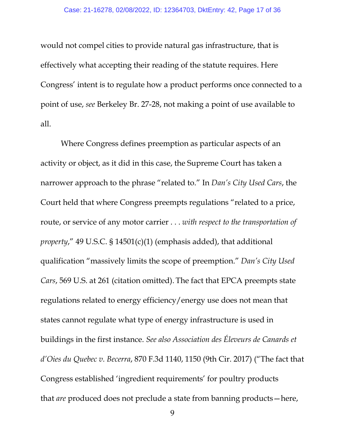would not compel cities to provide natural gas infrastructure, that is effectively what accepting their reading of the statute requires. Here Congress' intent is to regulate how a product performs once connected to a point of use, *see* Berkeley Br. 27-28, not making a point of use available to all.

Where Congress defines preemption as particular aspects of an activity or object, as it did in this case, the Supreme Court has taken a narrower approach to the phrase "related to." In *Dan's City Used Cars*, the Court held that where Congress preempts regulations "related to a price, route, or service of any motor carrier . . . *with respect to the transportation of property*," 49 U.S.C. § 14501(c)(1) (emphasis added), that additional qualification "massively limits the scope of preemption." *Dan's City Used Cars*, 569 U.S. at 261 (citation omitted). The fact that EPCA preempts state regulations related to energy efficiency/energy use does not mean that states cannot regulate what type of energy infrastructure is used in buildings in the first instance. *See also Association des Éleveurs de Canards et d'Oies du Quebec v. Becerra*, 870 F.3d 1140, 1150 (9th Cir. 2017) ("The fact that Congress established 'ingredient requirements' for poultry products that *are* produced does not preclude a state from banning products—here,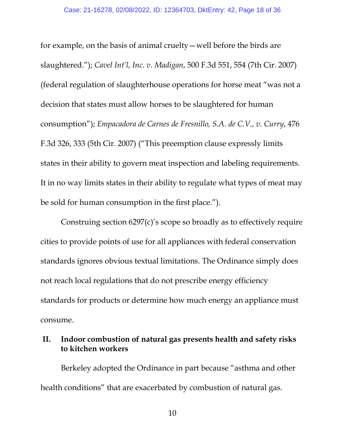for example, on the basis of animal cruelty—well before the birds are slaughtered."); *Cavel Int'l, Inc. v. Madigan*, 500 F.3d 551, 554 (7th Cir. 2007) (federal regulation of slaughterhouse operations for horse meat "was not a decision that states must allow horses to be slaughtered for human consumption"); *Empacadora de Carnes de Fresnillo, S.A. de C.V., v. Curry*, 476 F.3d 326, 333 (5th Cir. 2007) ("This preemption clause expressly limits states in their ability to govern meat inspection and labeling requirements. It in no way limits states in their ability to regulate what types of meat may be sold for human consumption in the first place.").

Construing section 6297(c)'s scope so broadly as to effectively require cities to provide points of use for all appliances with federal conservation standards ignores obvious textual limitations. The Ordinance simply does not reach local regulations that do not prescribe energy efficiency standards for products or determine how much energy an appliance must consume.

### **II. Indoor combustion of natural gas presents health and safety risks to kitchen workers**

Berkeley adopted the Ordinance in part because "asthma and other health conditions" that are exacerbated by combustion of natural gas.

10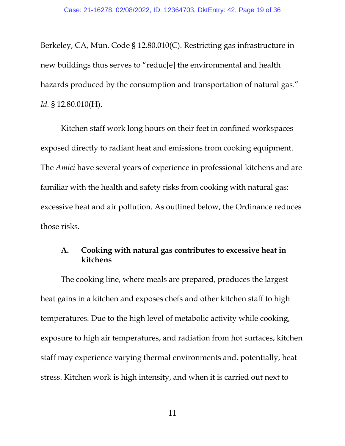Berkeley, CA, Mun. Code § 12.80.010(C). Restricting gas infrastructure in new buildings thus serves to "reduc[e] the environmental and health hazards produced by the consumption and transportation of natural gas." *Id.* § 12.80.010(H).

Kitchen staff work long hours on their feet in confined workspaces exposed directly to radiant heat and emissions from cooking equipment. The *Amici* have several years of experience in professional kitchens and are familiar with the health and safety risks from cooking with natural gas: excessive heat and air pollution. As outlined below, the Ordinance reduces those risks.

## **A. Cooking with natural gas contributes to excessive heat in kitchens**

The cooking line, where meals are prepared, produces the largest heat gains in a kitchen and exposes chefs and other kitchen staff to high temperatures. Due to the high level of metabolic activity while cooking, exposure to high air temperatures, and radiation from hot surfaces, kitchen staff may experience varying thermal environments and, potentially, heat stress. Kitchen work is high intensity, and when it is carried out next to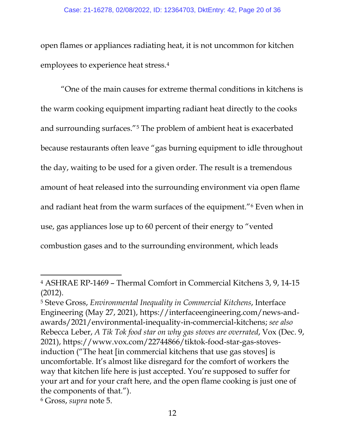open flames or appliances radiating heat, it is not uncommon for kitchen employees to experience heat stress.[4](#page-19-0)

"One of the main causes for extreme thermal conditions in kitchens is the warm cooking equipment imparting radiant heat directly to the cooks and surrounding surfaces."[5](#page-19-1) The problem of ambient heat is exacerbated because restaurants often leave "gas burning equipment to idle throughout the day, waiting to be used for a given order. The result is a tremendous amount of heat released into the surrounding environment via open flame and radiant heat from the warm surfaces of the equipment."[6](#page-19-2) Even when in use, gas appliances lose up to 60 percent of their energy to "vented combustion gases and to the surrounding environment, which leads

<span id="page-19-2"></span><sup>6</sup> Gross, *supra* note 5.

<span id="page-19-0"></span><sup>4</sup> ASHRAE RP-1469 – Thermal Comfort in Commercial Kitchens 3, 9, 14-15 (2012).

<span id="page-19-1"></span><sup>5</sup> Steve Gross, *Environmental Inequality in Commercial Kitchens*, Interface Engineering (May 27, 2021), https://interfaceengineering.com/news-andawards/2021/environmental-inequality-in-commercial-kitchens; *see also*  Rebecca Leber, *A Tik Tok food star on why gas stoves are overrated*, Vox (Dec. 9, 2021), https://www.vox.com/22744866/tiktok-food-star-gas-stovesinduction ("The heat [in commercial kitchens that use gas stoves] is uncomfortable. It's almost like disregard for the comfort of workers the way that kitchen life here is just accepted. You're supposed to suffer for your art and for your craft here, and the open flame cooking is just one of the components of that.").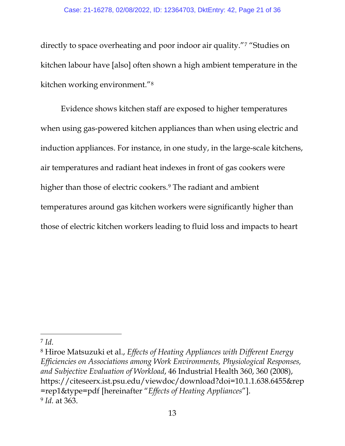directly to space overheating and poor indoor air quality."[7](#page-20-0) "Studies on kitchen labour have [also] often shown a high ambient temperature in the kitchen working environment."[8](#page-20-1)

Evidence shows kitchen staff are exposed to higher temperatures when using gas-powered kitchen appliances than when using electric and induction appliances. For instance, in one study, in the large-scale kitchens, air temperatures and radiant heat indexes in front of gas cookers were higher than those of electric cookers.<sup>[9](#page-20-2)</sup> The radiant and ambient temperatures around gas kitchen workers were significantly higher than those of electric kitchen workers leading to fluid loss and impacts to heart

<span id="page-20-2"></span><span id="page-20-1"></span><sup>8</sup> Hiroe Matsuzuki et al., *Effects of Heating Appliances with Different Energy Efficiencies on Associations among Work Environments, Physiological Responses, and Subjective Evaluation of Workload*, 46 Industrial Health 360, 360 (2008), https://citeseerx.ist.psu.edu/viewdoc/download?doi=10.1.1.638.6455&rep =rep1&type=pdf [hereinafter "*Effects of Heating Appliances*"]. <sup>9</sup> *Id.* at 363.

<span id="page-20-0"></span><sup>7</sup> *Id.*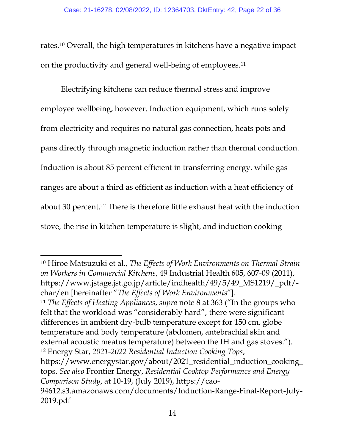rates.[10](#page-21-0) Overall, the high temperatures in kitchens have a negative impact on the productivity and general well-being of employees[.11](#page-21-1)

Electrifying kitchens can reduce thermal stress and improve employee wellbeing, however. Induction equipment, which runs solely from electricity and requires no natural gas connection, heats pots and pans directly through magnetic induction rather than thermal conduction. Induction is about 85 percent efficient in transferring energy, while gas ranges are about a third as efficient as induction with a heat efficiency of about 30 percent.[12](#page-21-2) There is therefore little exhaust heat with the induction stove, the rise in kitchen temperature is slight, and induction cooking

<span id="page-21-2"></span><span id="page-21-1"></span><span id="page-21-0"></span><sup>10</sup> Hiroe Matsuzuki et al., *The Effects of Work Environments on Thermal Strain on Workers in Commercial Kitchens*, 49 Industrial Health 605, 607-09 (2011), https://www.jstage.jst.go.jp/article/indhealth/49/5/49\_MS1219/\_pdf/ char/en [hereinafter "*The Effects of Work Environments*"]. <sup>11</sup> *The Effects of Heating Appliances*, *supra* note 8 at 363 ("In the groups who felt that the workload was "considerably hard", there were significant differences in ambient dry-bulb temperature except for 150 cm, globe temperature and body temperature (abdomen, antebrachial skin and external acoustic meatus temperature) between the IH and gas stoves."). <sup>12</sup> Energy Star, *2021-2022 Residential Induction Cooking Tops*, https://www.energystar.gov/about/2021\_residential\_induction\_cooking\_ tops. *See also* Frontier Energy, *Residential Cooktop Performance and Energy Comparison Study*, at 10-19, (July 2019), https://cao-94612.s3.amazonaws.com/documents/Induction-Range-Final-Report-July-2019.pdf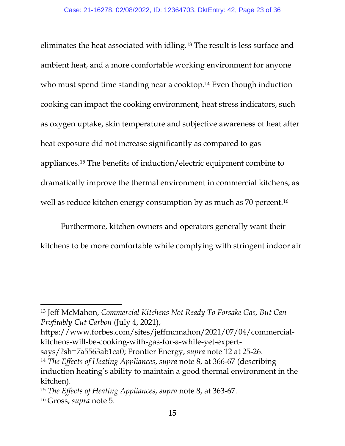eliminates the heat associated with idling.[13](#page-22-0) The result is less surface and ambient heat, and a more comfortable working environment for anyone who must spend time standing near a cooktop.<sup>[14](#page-22-1)</sup> Even though induction cooking can impact the cooking environment, heat stress indicators, such as oxygen uptake, skin temperature and subjective awareness of heat after heat exposure did not increase significantly as compared to gas appliances.[15](#page-22-2) The benefits of induction/electric equipment combine to dramatically improve the thermal environment in commercial kitchens, as well as reduce kitchen energy consumption by as much as 70 percent.<sup>[16](#page-22-3)</sup>

Furthermore, kitchen owners and operators generally want their kitchens to be more comfortable while complying with stringent indoor air

https://www.forbes.com/sites/jeffmcmahon/2021/07/04/commercialkitchens-will-be-cooking-with-gas-for-a-while-yet-expert-

<span id="page-22-0"></span><sup>13</sup> Jeff McMahon, *Commercial Kitchens Not Ready To Forsake Gas, But Can Profitably Cut Carbon* (July 4, 2021),

says/?sh=7a5563ab1ca0; Frontier Energy, *supra* note 12 at 25-26.

<span id="page-22-1"></span><sup>14</sup> *The Effects of Heating Appliances*, *supra* note 8, at 366-67 (describing induction heating's ability to maintain a good thermal environment in the kitchen).

<span id="page-22-3"></span><span id="page-22-2"></span><sup>15</sup> *The Effects of Heating Appliances*, *supra* note 8, at 363-67. 16 Gross, *supra* note 5.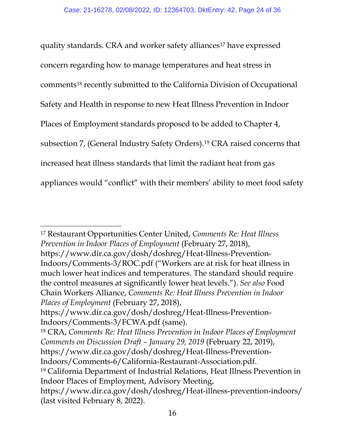quality standards. CRA and worker safety alliances<sup>[17](#page-23-0)</sup> have expressed concern regarding how to manage temperatures and heat stress in comment[s18](#page-23-1) recently submitted to the California Division of Occupational Safety and Health in response to new Heat Illness Prevention in Indoor Places of Employment standards proposed to be added to Chapter 4, subsection 7, (General Industry Safety Orders).[19](#page-23-2) CRA raised concerns that increased heat illness standards that limit the radiant heat from gas appliances would "conflict" with their members' ability to meet food safety

<span id="page-23-0"></span><sup>17</sup> Restaurant Opportunities Center United, *Comments Re: Heat Illness Prevention in Indoor Places of Employment* (February 27, 2018), https://www.dir.ca.gov/dosh/doshreg/Heat-Illness-Prevention-Indoors/Comments-3/ROC.pdf ("Workers are at risk for heat illness in much lower heat indices and temperatures. The standard should require the control measures at significantly lower heat levels."). *See also* Food Chain Workers Alliance, *Comments Re: Heat Illness Prevention in Indoor Places of Employment* (February 27, 2018),

https://www.dir.ca.gov/dosh/doshreg/Heat-Illness-Prevention-Indoors/Comments-3/FCWA.pdf (same).

<span id="page-23-2"></span><span id="page-23-1"></span><sup>18</sup> CRA, *Comments Re: Heat Illness Prevention in Indoor Places of Employment Comments on Discussion Draft – January 29, 2019* (February 22, 2019), https://www.dir.ca.gov/dosh/doshreg/Heat-Illness-Prevention-Indoors/Comments-6/California-Restaurant-Association.pdf. <sup>19</sup> California Department of Industrial Relations, Heat Illness Prevention in Indoor Places of Employment, Advisory Meeting, https://www.dir.ca.gov/dosh/doshreg/Heat-illness-prevention-indoors/ (last visited February 8, 2022).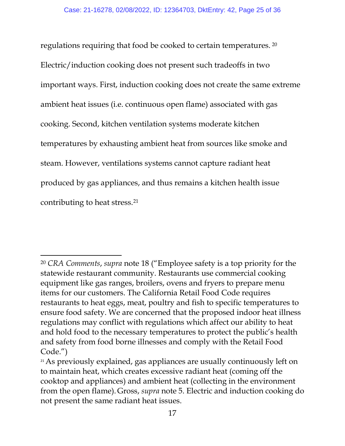regulations requiring that food be cooked to certain temperatures. [20](#page-24-0) Electric/induction cooking does not present such tradeoffs in two important ways. First, induction cooking does not create the same extreme ambient heat issues (i.e. continuous open flame) associated with gas cooking. Second, kitchen ventilation systems moderate kitchen temperatures by exhausting ambient heat from sources like smoke and steam. However, ventilations systems cannot capture radiant heat produced by gas appliances, and thus remains a kitchen health issue contributing to heat stress.[21](#page-24-1)

<span id="page-24-0"></span><sup>20</sup> *CRA Comments*, *supra* note 18 ("Employee safety is a top priority for the statewide restaurant community. Restaurants use commercial cooking equipment like gas ranges, broilers, ovens and fryers to prepare menu items for our customers. The California Retail Food Code requires restaurants to heat eggs, meat, poultry and fish to specific temperatures to ensure food safety. We are concerned that the proposed indoor heat illness regulations may conflict with regulations which affect our ability to heat and hold food to the necessary temperatures to protect the public's health and safety from food borne illnesses and comply with the Retail Food Code.")

<span id="page-24-1"></span><sup>&</sup>lt;sup>21</sup> As previously explained, gas appliances are usually continuously left on to maintain heat, which creates excessive radiant heat (coming off the cooktop and appliances) and ambient heat (collecting in the environment from the open flame). Gross, *supra* note 5. Electric and induction cooking do not present the same radiant heat issues.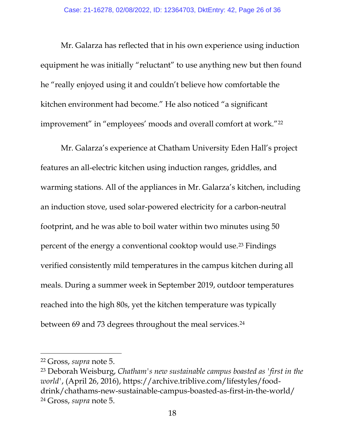Mr. Galarza has reflected that in his own experience using induction equipment he was initially "reluctant" to use anything new but then found he "really enjoyed using it and couldn't believe how comfortable the kitchen environment had become." He also noticed "a significant improvement" in "employees' moods and overall comfort at work.["22](#page-25-0)

Mr. Galarza's experience at Chatham University Eden Hall's project features an all-electric kitchen using induction ranges, griddles, and warming stations. All of the appliances in Mr. Galarza's kitchen, including an induction stove, used solar-powered electricity for a carbon-neutral footprint, and he was able to boil water within two minutes using 50 percent of the energy a conventional cooktop would use.[23](#page-25-1) Findings verified consistently mild temperatures in the campus kitchen during all meals. During a summer week in September 2019, outdoor temperatures reached into the high 80s, yet the kitchen temperature was typically between 69 and 73 degrees throughout the meal services.<sup>24</sup>

<span id="page-25-0"></span><sup>22</sup> Gross, *supra* note 5.

<span id="page-25-2"></span><span id="page-25-1"></span><sup>23</sup> Deborah Weisburg, *Chatham's new sustainable campus boasted as 'first in the world'*, (April 26, 2016), https://archive.triblive.com/lifestyles/fooddrink/chathams-new-sustainable-campus-boasted-as-first-in-the-world/ <sup>24</sup> Gross, *supra* note 5.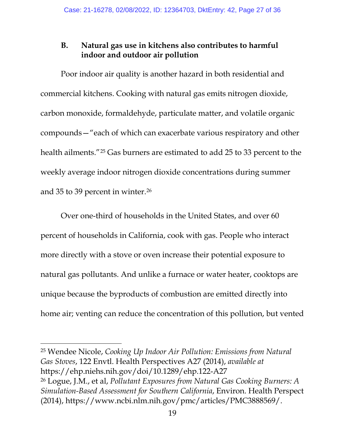## **B. Natural gas use in kitchens also contributes to harmful indoor and outdoor air pollution**

Poor indoor air quality is another hazard in both residential and commercial kitchens. Cooking with natural gas emits nitrogen dioxide, carbon monoxide, formaldehyde, particulate matter, and volatile organic compounds—"each of which can exacerbate various respiratory and other health ailments."[25](#page-26-0) Gas burners are estimated to add 25 to 33 percent to the weekly average indoor nitrogen dioxide concentrations during summer and 35 to 39 percent in winter.<sup>[26](#page-26-1)</sup>

Over one-third of households in the United States, and over 60 percent of households in California, cook with gas. People who interact more directly with a stove or oven increase their potential exposure to natural gas pollutants. And unlike a furnace or water heater, cooktops are unique because the byproducts of combustion are emitted directly into home air; venting can reduce the concentration of this pollution, but vented

<span id="page-26-1"></span><span id="page-26-0"></span><sup>25</sup> Wendee Nicole, *Cooking Up Indoor Air Pollution: Emissions from Natural Gas Stoves*, 122 Envtl. Health Perspectives A27 (2014), *available at* https://ehp.niehs.nih.gov/doi/10.1289/ehp.122-A27 <sup>26</sup> Logue, J.M., et al, *Pollutant Exposures from Natural Gas Cooking Burners: A Simulation-Based Assessment for Southern California*, Environ. Health Perspect (2014), https://www.ncbi.nlm.nih.gov/pmc/articles/PMC3888569/.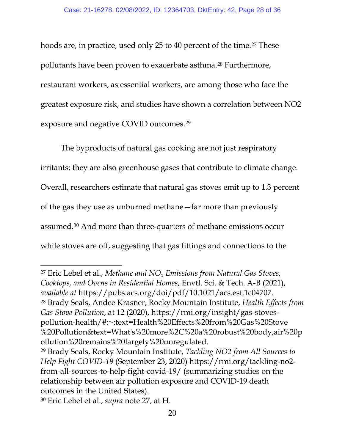hoods are, in practice, used only 25 to 40 percent of the time.<sup>[27](#page-27-0)</sup> These pollutants have been proven to exacerbate asthma.[28](#page-27-1) Furthermore, restaurant workers, as essential workers, are among those who face the greatest exposure risk, and studies have shown a correlation between NO2 exposure and negative COVID outcomes.[29](#page-27-2)

The byproducts of natural gas cooking are not just respiratory irritants; they are also greenhouse gases that contribute to climate change. Overall, researchers estimate that natural gas stoves emit up to 1.3 percent of the gas they use as unburned methane—far more than previously assumed.[30](#page-27-3) And more than three-quarters of methane emissions occur while stoves are off, suggesting that gas fittings and connections to the

<span id="page-27-1"></span><span id="page-27-0"></span><sup>27</sup> Eric Lebel et al., *Methane and NOx Emissions from Natural Gas Stoves, Cooktops, and Ovens in Residential Homes*, Envtl. Sci. & Tech. A-B (2021), *available at* https://pubs.acs.org/doi/pdf/10.1021/acs.est.1c04707. <sup>28</sup> Brady Seals, Andee Krasner, Rocky Mountain Institute, *Health Effects from Gas Stove Pollution*, at 12 (2020), https://rmi.org/insight/gas-stovespollution-health/#:~:text=Health%20Effects%20from%20Gas%20Stove %20Pollution&text=What's%20more%2C%20a%20robust%20body,air%20p ollution%20remains%20largely%20unregulated.

<span id="page-27-2"></span><sup>29</sup> Brady Seals, Rocky Mountain Institute, *Tackling NO2 from All Sources to Help Fight COVID-19* (September 23, 2020) https://rmi.org/tackling-no2 from-all-sources-to-help-fight-covid-19/ (summarizing studies on the relationship between air pollution exposure and COVID-19 death outcomes in the United States).

<span id="page-27-3"></span><sup>30</sup> Eric Lebel et al., *supra* note 27, at H.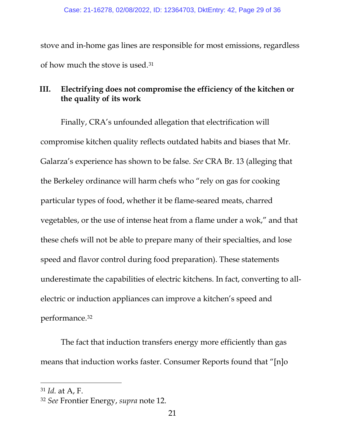stove and in-home gas lines are responsible for most emissions, regardless of how much the stove is used.[31](#page-28-0)

## **III. Electrifying does not compromise the efficiency of the kitchen or the quality of its work**

Finally, CRA's unfounded allegation that electrification will compromise kitchen quality reflects outdated habits and biases that Mr. Galarza's experience has shown to be false. *See* CRA Br. 13 (alleging that the Berkeley ordinance will harm chefs who "rely on gas for cooking particular types of food, whether it be flame-seared meats, charred vegetables, or the use of intense heat from a flame under a wok," and that these chefs will not be able to prepare many of their specialties, and lose speed and flavor control during food preparation). These statements underestimate the capabilities of electric kitchens. In fact, converting to allelectric or induction appliances can improve a kitchen's speed and performance.[32](#page-28-1)

The fact that induction transfers energy more efficiently than gas means that induction works faster. Consumer Reports found that "[n]o

<span id="page-28-0"></span><sup>31</sup> *Id.* at A, F.

<span id="page-28-1"></span><sup>32</sup> *See* Frontier Energy, *supra* note 12.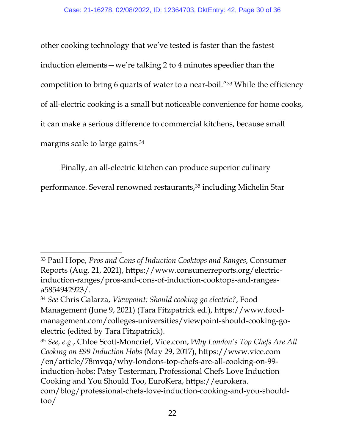other cooking technology that we've tested is faster than the fastest induction elements—we're talking 2 to 4 minutes speedier than the competition to bring 6 quarts of water to a near-boil."[33](#page-29-0) While the efficiency of all-electric cooking is a small but noticeable convenience for home cooks, it can make a serious difference to commercial kitchens, because small margins scale to large gains.[34](#page-29-1)

Finally, an all-electric kitchen can produce superior culinary

performance. Several renowned restaurants,<sup>[35](#page-29-2)</sup> including Michelin Star

<span id="page-29-0"></span><sup>33</sup> Paul Hope, *Pros and Cons of Induction Cooktops and Ranges*, Consumer Reports (Aug. 21, 2021), https://www.consumerreports.org/electricinduction-ranges/pros-and-cons-of-induction-cooktops-and-rangesa5854942923/.

<span id="page-29-1"></span><sup>34</sup> *See* Chris Galarza, *Viewpoint: Should cooking go electric?*, Food Management (June 9, 2021) (Tara Fitzpatrick ed.), https://www.foodmanagement.com/colleges-universities/viewpoint-should-cooking-goelectric (edited by Tara Fitzpatrick).

<span id="page-29-2"></span><sup>35</sup> *See, e.g.*, Chloe Scott-Moncrief, Vice.com, *Why London's Top Chefs Are All Cooking on £99 Induction Hobs* (May 29, 2017), https://www.vice.com /en/article/78mvqa/why-londons-top-chefs-are-all-cooking-on-99 induction-hobs; Patsy Testerman, Professional Chefs Love Induction Cooking and You Should Too, EuroKera, https://eurokera. com/blog/professional-chefs-love-induction-cooking-and-you-shouldtoo/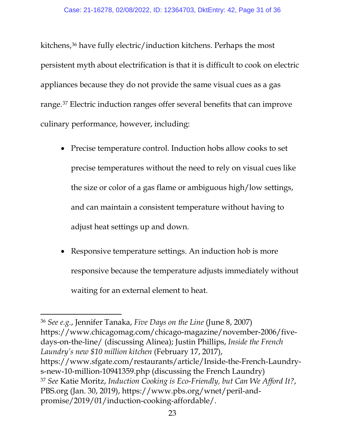kitchens,[36](#page-30-0) have fully electric/induction kitchens. Perhaps the most persistent myth about electrification is that it is difficult to cook on electric appliances because they do not provide the same visual cues as a gas range.[37](#page-30-1) Electric induction ranges offer several benefits that can improve culinary performance, however, including:

- Precise temperature control. Induction hobs allow cooks to set precise temperatures without the need to rely on visual cues like the size or color of a gas flame or ambiguous high/low settings, and can maintain a consistent temperature without having to adjust heat settings up and down.
- Responsive temperature settings. An induction hob is more responsive because the temperature adjusts immediately without waiting for an external element to heat.

<span id="page-30-1"></span><span id="page-30-0"></span><sup>36</sup> *See e.g.*, Jennifer Tanaka, *Five Days on the Line* (June 8, 2007) https://www.chicagomag.com/chicago-magazine/november-2006/fivedays-on-the-line/ (discussing Alinea); Justin Phillips, *Inside the French Laundry's new \$10 million kitchen* (February 17, 2017), https://www.sfgate.com/restaurants/article/Inside-the-French-Laundrys-new-10-million-10941359.php (discussing the French Laundry) <sup>37</sup> *See* Katie Moritz, *Induction Cooking is Eco-Friendly, but Can We Afford It?*, PBS.org (Jan. 30, 2019), https://www.pbs.org/wnet/peril-andpromise/2019/01/induction-cooking-affordable/.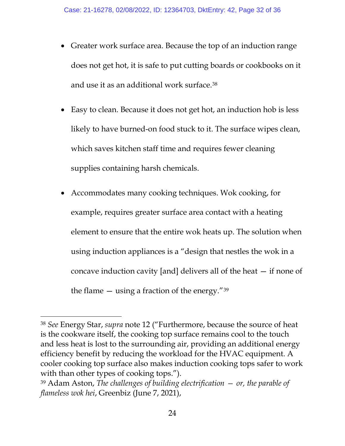- Greater work surface area. Because the top of an induction range does not get hot, it is safe to put cutting boards or cookbooks on it and use it as an additional work surface.[38](#page-31-0)
- Easy to clean. Because it does not get hot, an induction hob is less likely to have burned-on food stuck to it. The surface wipes clean, which saves kitchen staff time and requires fewer cleaning supplies containing harsh chemicals.
- Accommodates many cooking techniques. Wok cooking, for example, requires greater surface area contact with a heating element to ensure that the entire wok heats up. The solution when using induction appliances is a "design that nestles the wok in a concave induction cavity [and] delivers all of the heat — if none of the flame  $-$  using a fraction of the energy."<sup>[39](#page-31-1)</sup>

<span id="page-31-0"></span><sup>38</sup> *See* Energy Star, *supra* note 12 ("Furthermore, because the source of heat is the cookware itself, the cooking top surface remains cool to the touch and less heat is lost to the surrounding air, providing an additional energy efficiency benefit by reducing the workload for the HVAC equipment. A cooler cooking top surface also makes induction cooking tops safer to work with than other types of cooking tops.").

<span id="page-31-1"></span><sup>39</sup> Adam Aston, *The challenges of building electrification — or, the parable of flameless wok hei*, Greenbiz (June 7, 2021),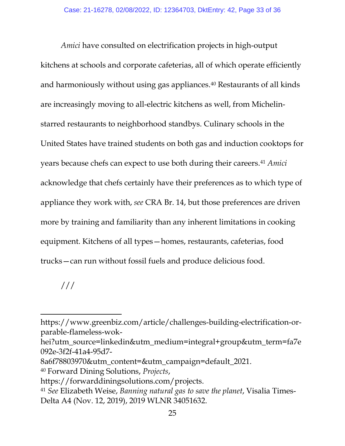*Amici* have consulted on electrification projects in high-output kitchens at schools and corporate cafeterias, all of which operate efficiently and harmoniously without using gas appliances.[40](#page-32-0) Restaurants of all kinds are increasingly moving to all-electric kitchens as well, from Michelinstarred restaurants to neighborhood standbys. Culinary schools in the United States have trained students on both gas and induction cooktops for years because chefs can expect to use both during their careers.[41](#page-32-1) *Amici*  acknowledge that chefs certainly have their preferences as to which type of appliance they work with, *see* CRA Br. 14, but those preferences are driven more by training and familiarity than any inherent limitations in cooking equipment. Kitchens of all types—homes, restaurants, cafeterias, food trucks—can run without fossil fuels and produce delicious food.

## ///

https://www.greenbiz.com/article/challenges-building-electrification-orparable-flameless-wok-

hei?utm\_source=linkedin&utm\_medium=integral+group&utm\_term=fa7e 092e-3f2f-41a4-95d7-

<sup>8</sup>a6f78803970&utm\_content=&utm\_campaign=default\_2021.

<span id="page-32-0"></span><sup>40</sup> Forward Dining Solutions, *Projects*,

<span id="page-32-1"></span>https://forwarddiningsolutions.com/projects. 41 *See* Elizabeth Weise, *Banning natural gas to save the planet*, Visalia Times-Delta A4 (Nov. 12, 2019), 2019 WLNR 34051632.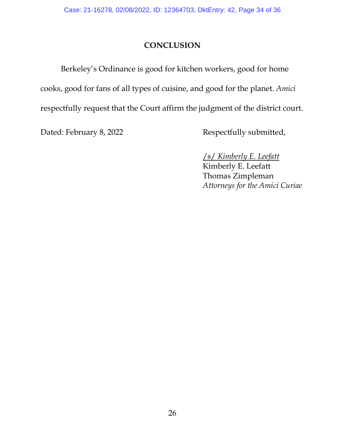## **CONCLUSION**

Berkeley's Ordinance is good for kitchen workers, good for home cooks, good for fans of all types of cuisine, and good for the planet. *Amici*  respectfully request that the Court affirm the judgment of the district court.

Dated: February 8, 2022 Respectfully submitted,

/s/ *Kimberly E. Leefatt* Kimberly E. Leefatt Thomas Zimpleman *Attorneys for the Amici Curiae*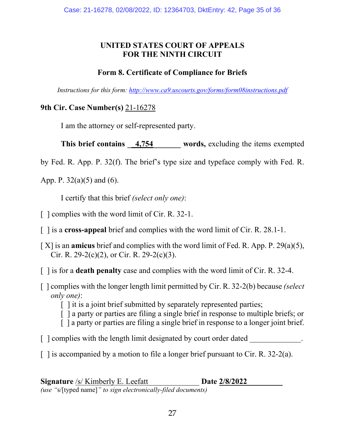## **UNITED STATES COURT OF APPEALS FOR THE NINTH CIRCUIT**

## **Form 8. Certificate of Compliance for Briefs**

*Instructions for this form:<http://www.ca9.uscourts.gov/forms/form08instructions.pdf>*

### **9th Cir. Case Number(s)** 21-16278

I am the attorney or self-represented party.

**This brief contains** 4,754 words, excluding the items exempted

by Fed. R. App. P. 32(f). The brief's type size and typeface comply with Fed. R.

App. P. 32(a)(5) and (6).

I certify that this brief *(select only one)*:

- [ ] complies with the word limit of Cir. R. 32-1.
- [ ] is a **cross-appeal** brief and complies with the word limit of Cir. R. 28.1-1.
- [ X] is an **amicus** brief and complies with the word limit of Fed. R. App. P. 29(a)(5), Cir. R. 29-2(c)(2), or Cir. R. 29-2(c)(3).
- [ ] is for a **death penalty** case and complies with the word limit of Cir. R. 32-4.
- [ ] complies with the longer length limit permitted by Cir. R. 32-2(b) because *(select only one)*:
	- [] it is a joint brief submitted by separately represented parties;
	- [ ] a party or parties are filing a single brief in response to multiple briefs; or
	- [ ] a party or parties are filing a single brief in response to a longer joint brief.
- [ ] complies with the length limit designated by court order dated  $\blacksquare$
- $\lceil$  1 is accompanied by a motion to file a longer brief pursuant to Cir. R. 32-2(a).

**Signature** /s/ Kimberly E. Leefatt **Date 2/8/2022** *(use "*s/[typed name]*" to sign electronically-filed documents)*